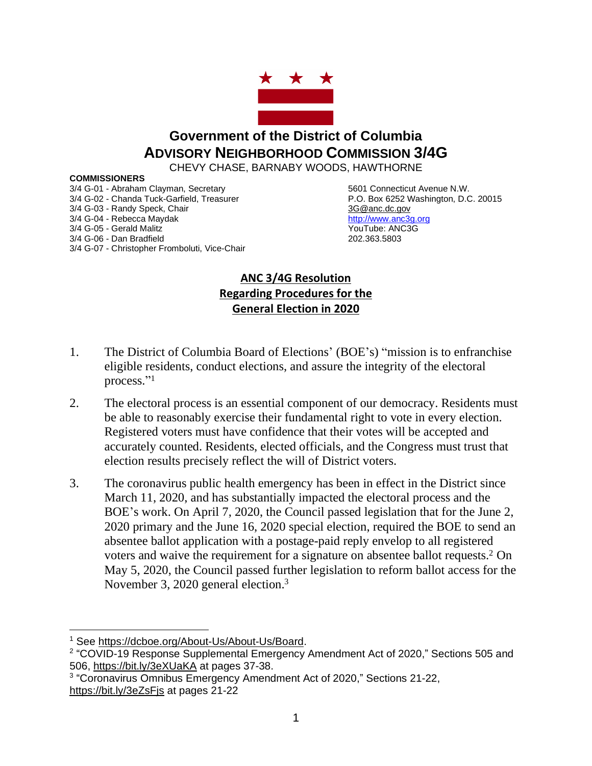

## **Government of the District of Columbia ADVISORY NEIGHBORHOOD COMMISSION 3/4G**

CHEVY CHASE, BARNABY WOODS, HAWTHORNE

## **COMMISSIONERS**

3/4 G-01 - Abraham Clayman, Secretary 5601 Connecticut Avenue N.W. 3/4 G-02 - Chanda Tuck-Garfield, Treasurer P.O. Box 6252 Washington, D.C. 20015 3/4 G-03 - Randy Speck, Chair 3G @anc.dc.gov 3/4 G-04 - Rebecca Maydak **[http://www.anc3g.org](http://www.anc3g.org/)** 3/4 G-05 - Gerald Malitz YouTube: ANC3G 3/4 G-06 - Dan Bradfield 202.363.5803 3/4 G-07 - Christopher Fromboluti, Vice-Chair

## **ANC 3/4G Resolution Regarding Procedures for the General Election in 2020**

- 1. The District of Columbia Board of Elections' (BOE's) "mission is to enfranchise eligible residents, conduct elections, and assure the integrity of the electoral process." 1
- 2. The electoral process is an essential component of our democracy. Residents must be able to reasonably exercise their fundamental right to vote in every election. Registered voters must have confidence that their votes will be accepted and accurately counted. Residents, elected officials, and the Congress must trust that election results precisely reflect the will of District voters.
- 3. The coronavirus public health emergency has been in effect in the District since March 11, 2020, and has substantially impacted the electoral process and the BOE's work. On April 7, 2020, the Council passed legislation that for the June 2, 2020 primary and the June 16, 2020 special election, required the BOE to send an absentee ballot application with a postage-paid reply envelop to all registered voters and waive the requirement for a signature on absentee ballot requests.<sup>2</sup> On May 5, 2020, the Council passed further legislation to reform ballot access for the November 3, 2020 general election.<sup>3</sup>

<sup>&</sup>lt;sup>1</sup> See [https://dcboe.org/About-Us/About-Us/Board.](https://dcboe.org/About-Us/About-Us/Board)

<sup>&</sup>lt;sup>2</sup> "COVID-19 Response Supplemental Emergency Amendment Act of 2020," Sections 505 and 506, <https://bit.ly/3eXUaKA> at pages 37-38.

<sup>3</sup> "Coronavirus Omnibus Emergency Amendment Act of 2020," Sections 21-22, <https://bit.ly/3eZsFjs> at pages 21-22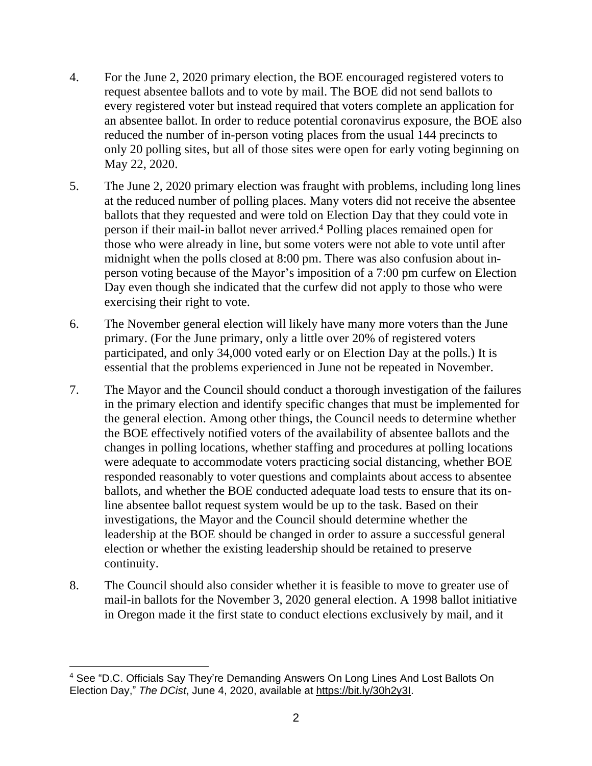- 4. For the June 2, 2020 primary election, the BOE encouraged registered voters to request absentee ballots and to vote by mail. The BOE did not send ballots to every registered voter but instead required that voters complete an application for an absentee ballot. In order to reduce potential coronavirus exposure, the BOE also reduced the number of in-person voting places from the usual 144 precincts to only 20 polling sites, but all of those sites were open for early voting beginning on May 22, 2020.
- 5. The June 2, 2020 primary election was fraught with problems, including long lines at the reduced number of polling places. Many voters did not receive the absentee ballots that they requested and were told on Election Day that they could vote in person if their mail-in ballot never arrived.<sup>4</sup> Polling places remained open for those who were already in line, but some voters were not able to vote until after midnight when the polls closed at 8:00 pm. There was also confusion about inperson voting because of the Mayor's imposition of a 7:00 pm curfew on Election Day even though she indicated that the curfew did not apply to those who were exercising their right to vote.
- 6. The November general election will likely have many more voters than the June primary. (For the June primary, only a little over 20% of registered voters participated, and only 34,000 voted early or on Election Day at the polls.) It is essential that the problems experienced in June not be repeated in November.
- 7. The Mayor and the Council should conduct a thorough investigation of the failures in the primary election and identify specific changes that must be implemented for the general election. Among other things, the Council needs to determine whether the BOE effectively notified voters of the availability of absentee ballots and the changes in polling locations, whether staffing and procedures at polling locations were adequate to accommodate voters practicing social distancing, whether BOE responded reasonably to voter questions and complaints about access to absentee ballots, and whether the BOE conducted adequate load tests to ensure that its online absentee ballot request system would be up to the task. Based on their investigations, the Mayor and the Council should determine whether the leadership at the BOE should be changed in order to assure a successful general election or whether the existing leadership should be retained to preserve continuity.
- 8. The Council should also consider whether it is feasible to move to greater use of mail-in ballots for the November 3, 2020 general election. A 1998 ballot initiative in Oregon made it the first state to conduct elections exclusively by mail, and it

<sup>4</sup> See "D.C. Officials Say They're Demanding Answers On Long Lines And Lost Ballots On Election Day," *The DCist*, June 4, 2020, available at [https://bit.ly/30h2y3I.](https://bit.ly/30h2y3I)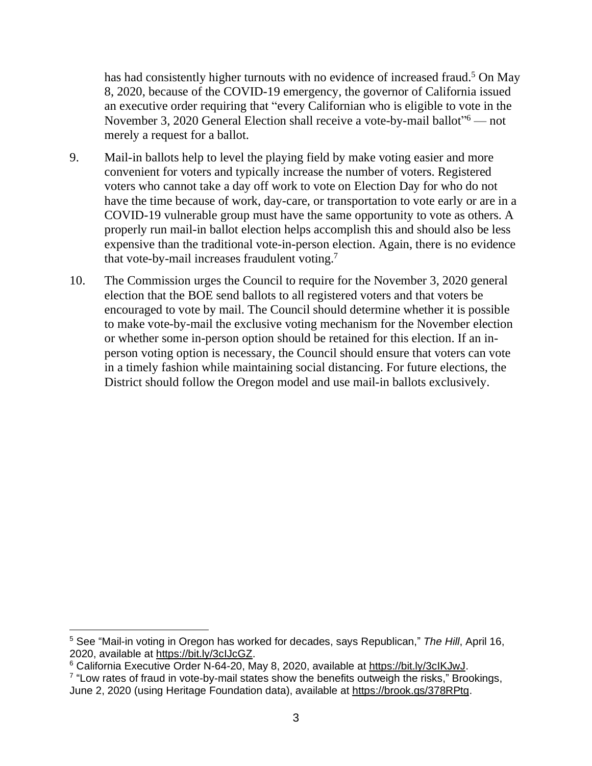has had consistently higher turnouts with no evidence of increased fraud.<sup>5</sup> On May 8, 2020, because of the COVID-19 emergency, the governor of California issued an executive order requiring that "every Californian who is eligible to vote in the November 3, 2020 General Election shall receive a vote-by-mail ballot"<sup>6</sup> — not merely a request for a ballot.

- 9. Mail-in ballots help to level the playing field by make voting easier and more convenient for voters and typically increase the number of voters. Registered voters who cannot take a day off work to vote on Election Day for who do not have the time because of work, day-care, or transportation to vote early or are in a COVID-19 vulnerable group must have the same opportunity to vote as others. A properly run mail-in ballot election helps accomplish this and should also be less expensive than the traditional vote-in-person election. Again, there is no evidence that vote-by-mail increases fraudulent voting.<sup>7</sup>
- 10. The Commission urges the Council to require for the November 3, 2020 general election that the BOE send ballots to all registered voters and that voters be encouraged to vote by mail. The Council should determine whether it is possible to make vote-by-mail the exclusive voting mechanism for the November election or whether some in-person option should be retained for this election. If an inperson voting option is necessary, the Council should ensure that voters can vote in a timely fashion while maintaining social distancing. For future elections, the District should follow the Oregon model and use mail-in ballots exclusively.

<sup>5</sup> See "Mail-in voting in Oregon has worked for decades, says Republican," *The Hill*, April 16, 2020, available at [https://bit.ly/3cIJcGZ.](https://bit.ly/3cIJcGZ)

<sup>6</sup> California Executive Order N-64-20, May 8, 2020, available at [https://bit.ly/3cIKJwJ.](https://bit.ly/3cIKJwJ)

<sup>&</sup>lt;sup>7</sup> "Low rates of fraud in vote-by-mail states show the benefits outweigh the risks," Brookings, June 2, 2020 (using Heritage Foundation data), available at [https://brook.gs/378RPtg.](https://brook.gs/378RPtg)